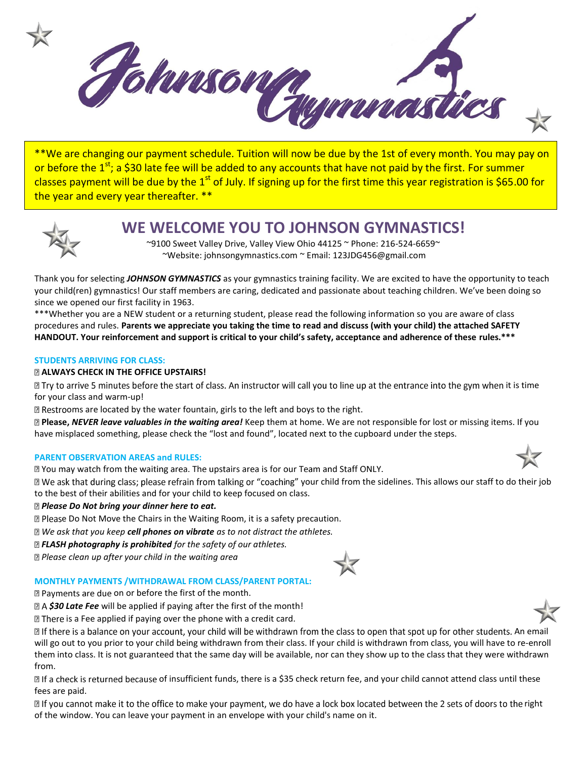

\*\*We are changing our payment schedule. Tuition will now be due by the 1st of every month. You may pay on or before the 1<sup>st</sup>; a \$30 late fee will be added to any accounts that have not paid by the first. For summer classes payment will be due by the 1<sup>st</sup> of July. If signing up for the first time this year registration is \$65.00 for the year and every year thereafter. \*\*



# **WE WELCOME YOU TO JOHNSON GYMNASTICS!**

~9100 Sweet Valley Drive, Valley View Ohio 44125 ~ Phone: 216-524-6659~ ~Website: johnsongymnastics.com ~ Email: 123JDG456@gmail.com

Thank you for selecting *JOHNSON GYMNASTICS* as your gymnastics training facility. We are excited to have the opportunity to teach your child(ren) gymnastics! Our staff members are caring, dedicated and passionate about teaching children. We've been doing so since we opened our first facility in 1963.

\*\*\*Whether you are a NEW student or a returning student, please read the following information so you are aware of class procedures and rules. **Parents we appreciate you taking the time to read and discuss (with your child) the attached SAFETY HANDOUT. Your reinforcement and support is critical to your child's safety, acceptance and adherence of these rules.\*\*\*** 

#### **STUDENTS ARRIVING FOR CLASS:**

#### **ALWAYS CHECK IN THE OFFICE UPSTAIRS!**

If Try to arrive 5 minutes before the start of class. An instructor will call you to line up at the entrance into the gym when it is time for your class and warm-up!

 $\mathbb B$  Restrooms are located by the water fountain, girls to the left and boys to the right.

**Please,** *NEVER leave valuables in the waiting area!* Keep them at home. We are not responsible for lost or missing items. If you have misplaced something, please check the "lost and found", located next to the cupboard under the steps.

#### **PARENT OBSERVATION AREAS and RULES:**

I You may watch from the waiting area. The upstairs area is for our Team and Staff ONLY.

I We ask that during class; please refrain from talking or "coaching" your child from the sidelines. This allows our staff to do their job to the best of their abilities and for your child to keep focused on class.

#### *Please Do Not bring your dinner here to eat.*

**D** Please Do Not Move the Chairs in the Waiting Room, it is a safety precaution.

*We ask that you keep cell phones on vibrate as to not distract the athletes.* 

*FLASH photography is prohibited for the safety of our athletes.* 

*Please clean up after your child in the waiting area* 



#### **MONTHLY PAYMENTS /WITHDRAWAL FROM CLASS/PARENT PORTAL:**

**D** Payments are due on or before the first of the month.

*\$30 Late Fee* will be applied if paying after the first of the month!

 $\mathbb D$  There is a Fee applied if paying over the phone with a credit card.

If there is a balance on your account, your child will be withdrawn from the class to open that spot up for other students. An email will go out to you prior to your child being withdrawn from their class. If your child is withdrawn from class, you will have to re-enroll them into class. It is not guaranteed that the same day will be available, nor can they show up to the class that they were withdrawn from.

If a check is returned because of insufficient funds, there is a \$35 check return fee, and your child cannot attend class until these fees are paid.

If you cannot make it to the office to make your payment, we do have a lock box located between the 2 sets of doors to the right of the window. You can leave your payment in an envelope with your child's name on it.



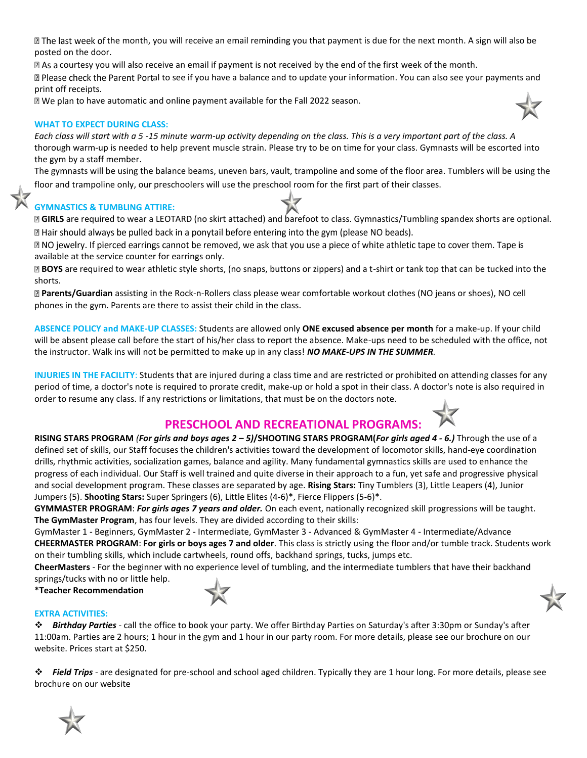I The last week of the month, you will receive an email reminding you that payment is due for the next month. A sign will also be posted on the door.

If As a courtesy you will also receive an email if payment is not received by the end of the first week of the month. I Please check the Parent Portal to see if you have a balance and to update your information. You can also see your payments and

**D** We plan to have automatic and online payment available for the Fall 2022 season.

#### **WHAT TO EXPECT DURING CLASS:**

print off receipts.

*Each class will start with a 5 -15 minute warm-up activity depending on the class. This is a very important part of the class. A*  thorough warm-up is needed to help prevent muscle strain. Please try to be on time for your class. Gymnasts will be escorted into the gym by a staff member.

The gymnasts will be using the balance beams, uneven bars, vault, trampoline and some of the floor area. Tumblers will be using the floor and trampoline only, our preschoolers will use the preschool room for the first part of their classes.

#### **GYMNASTICS & TUMBLING ATTIRE:**

**GIRLS** are required to wear a LEOTARD (no skirt attached) and barefoot to class. Gymnastics/Tumbling spandex shorts are optional. I Hair should always be pulled back in a ponytail before entering into the gym (please NO beads).

**D** NO jewelry. If pierced earrings cannot be removed, we ask that you use a piece of white athletic tape to cover them. Tape is available at the service counter for earrings only.

**BOYS** are required to wear athletic style shorts, (no snaps, buttons or zippers) and a t-shirt or tank top that can be tucked into the shorts.

**Parents/Guardian** assisting in the Rock-n-Rollers class please wear comfortable workout clothes (NO jeans or shoes), NO cell phones in the gym. Parents are there to assist their child in the class.

**ABSENCE POLICY and MAKE-UP CLASSES:** Students are allowed only **ONE excused absence per month** for a make-up. If your child will be absent please call before the start of his/her class to report the absence. Make-ups need to be scheduled with the office, not the instructor. Walk ins will not be permitted to make up in any class! *NO MAKE-UPS IN THE SUMMER.* 

**INJURIES IN THE FACILITY**: Students that are injured during a class time and are restricted or prohibited on attending classes for any period of time, a doctor's note is required to prorate credit, make-up or hold a spot in their class. A doctor's note is also required in order to resume any class. If any restrictions or limitations, that must be on the doctors note.

## **PRESCHOOL AND RECREATIONAL PROGRAMS:**

**RISING STARS PROGRAM** *(For girls and boys ages 2 – 5)***/SHOOTING STARS PROGRAM(***For girls aged 4 - 6.)* Through the use of a defined set of skills, our Staff focuses the children's activities toward the development of locomotor skills, hand-eye coordination drills, rhythmic activities, socialization games, balance and agility. Many fundamental gymnastics skills are used to enhance the progress of each individual. Our Staff is well trained and quite diverse in their approach to a fun, yet safe and progressive physical and social development program. These classes are separated by age. **Rising Stars:** Tiny Tumblers (3), Little Leapers (4), Junior Jumpers (5). **Shooting Stars:** Super Springers (6), Little Elites (4-6)\*, Fierce Flippers (5-6)\*.

**GYMMASTER PROGRAM**: *For girls ages 7 years and older.* On each event, nationally recognized skill progressions will be taught. **The GymMaster Program**, has four levels. They are divided according to their skills:

GymMaster 1 - Beginners, GymMaster 2 - Intermediate, GymMaster 3 - Advanced & GymMaster 4 - Intermediate/Advance **CHEERMASTER PROGRAM**: **For girls or boys ages 7 and older**. This class is strictly using the floor and/or tumble track. Students work on their tumbling skills, which include cartwheels, round offs, backhand springs, tucks, jumps etc.

**CheerMasters** - For the beginner with no experience level of tumbling, and the intermediate tumblers that have their backhand springs/tucks with no or little help.

**\*Teacher Recommendation**

#### **EXTRA ACTIVITIES:**

*Birthday Parties* - call the office to book your party. We offer Birthday Parties on Saturday's after 3:30pm or Sunday's after 11:00am. Parties are 2 hours; 1 hour in the gym and 1 hour in our party room. For more details, please see our brochure on our website. Prices start at \$250.

*Field Trips* - are designated for pre-school and school aged children. Typically they are 1 hour long. For more details, please see brochure on our website